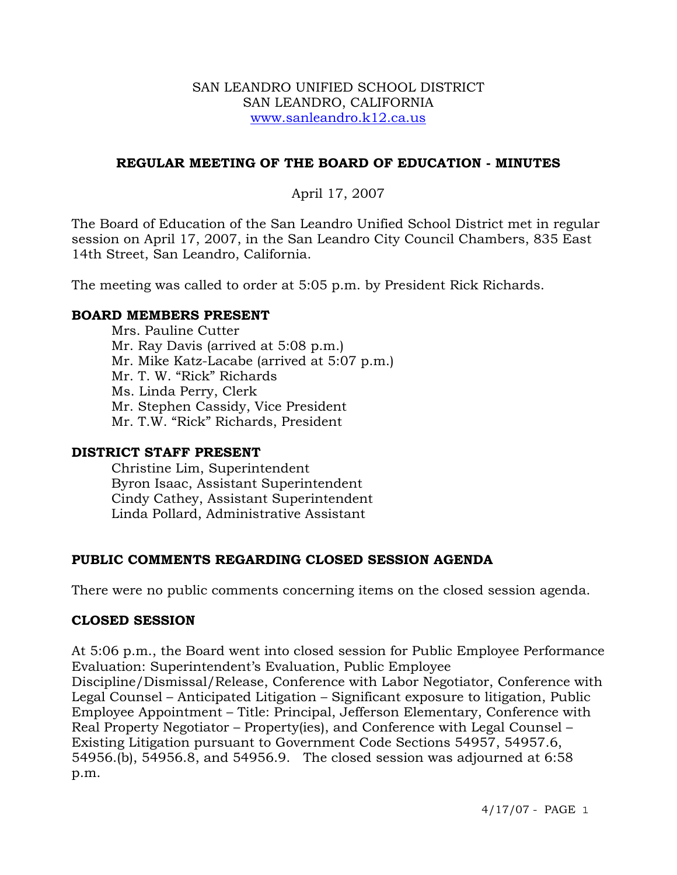#### SAN LEANDRO UNIFIED SCHOOL DISTRICT SAN LEANDRO, CALIFORNIA www.sanleandro.k12.ca.us

## **REGULAR MEETING OF THE BOARD OF EDUCATION - MINUTES**

# April 17, 2007

The Board of Education of the San Leandro Unified School District met in regular session on April 17, 2007, in the San Leandro City Council Chambers, 835 East 14th Street, San Leandro, California.

The meeting was called to order at 5:05 p.m. by President Rick Richards.

### **BOARD MEMBERS PRESENT**

Mrs. Pauline Cutter Mr. Ray Davis (arrived at 5:08 p.m.) Mr. Mike Katz-Lacabe (arrived at 5:07 p.m.) Mr. T. W. "Rick" Richards Ms. Linda Perry, Clerk Mr. Stephen Cassidy, Vice President Mr. T.W. "Rick" Richards, President

## **DISTRICT STAFF PRESENT**

Christine Lim, Superintendent Byron Isaac, Assistant Superintendent Cindy Cathey, Assistant Superintendent Linda Pollard, Administrative Assistant

## **PUBLIC COMMENTS REGARDING CLOSED SESSION AGENDA**

There were no public comments concerning items on the closed session agenda.

#### **CLOSED SESSION**

At 5:06 p.m., the Board went into closed session for Public Employee Performance Evaluation: Superintendent's Evaluation, Public Employee

Discipline/Dismissal/Release, Conference with Labor Negotiator, Conference with Legal Counsel – Anticipated Litigation – Significant exposure to litigation, Public Employee Appointment – Title: Principal, Jefferson Elementary, Conference with Real Property Negotiator – Property(ies), and Conference with Legal Counsel – Existing Litigation pursuant to Government Code Sections 54957, 54957.6, 54956.(b), 54956.8, and 54956.9. The closed session was adjourned at 6:58 p.m.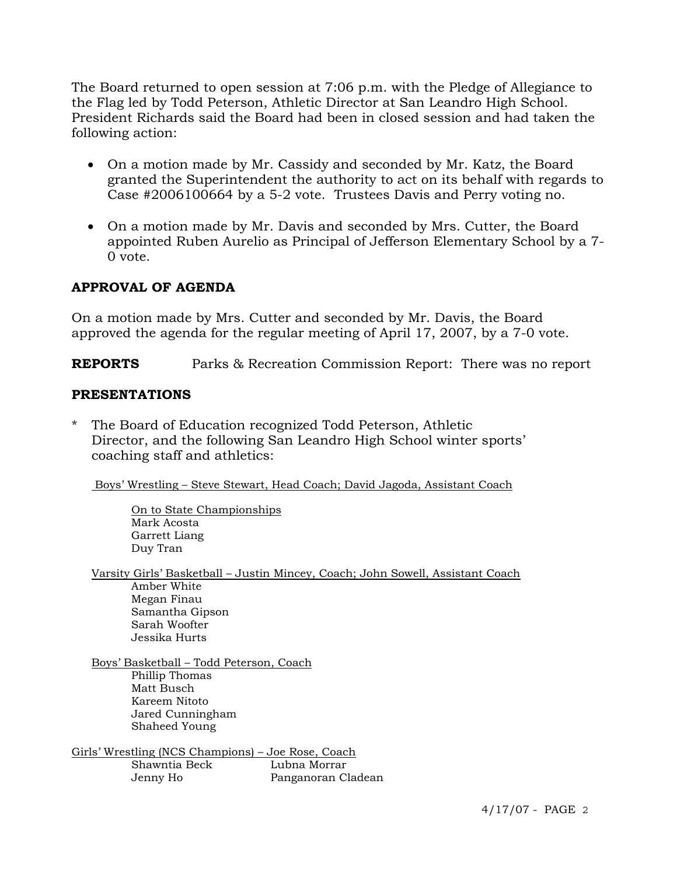The Board returned to open session at 7:06 p.m. with the Pledge of Allegiance to the Flag led by Todd Peterson, Athletic Director at San Leandro High School. President Richards said the Board had been in closed session and had taken the following action:

- On a motion made by Mr. Cassidy and seconded by Mr. Katz, the Board granted the Superintendent the authority to act on its behalf with regards to Case #2006100664 by a 5-2 vote. Trustees Davis and Perry voting no.
- On a motion made by Mr. Davis and seconded by Mrs. Cutter, the Board appointed Ruben Aurelio as Principal of Jefferson Elementary School by a 7- 0 vote.

# **APPROVAL OF AGENDA**

On a motion made by Mrs. Cutter and seconded by Mr. Davis, the Board approved the agenda for the regular meeting of April 17, 2007, by a 7-0 vote.

**REPORTS** Parks & Recreation Commission Report: There was no report

### **PRESENTATIONS**

The Board of Education recognized Todd Peterson, Athletic Director, and the following San Leandro High School winter sports' coaching staff and athletics:

Boys' Wrestling – Steve Stewart, Head Coach; David Jagoda, Assistant Coach

 On to State Championships Mark Acosta Garrett Liang Duy Tran

Varsity Girls' Basketball – Justin Mincey, Coach; John Sowell, Assistant Coach Amber White Megan Finau Samantha Gipson Sarah Woofter Jessika Hurts

Boys' Basketball – Todd Peterson, Coach Phillip Thomas Matt Busch Kareem Nitoto Jared Cunningham Shaheed Young

Girls' Wrestling (NCS Champions) – Joe Rose, Coach Shawntia Beck Lubna Morrar Jenny Ho Panganoran Cladean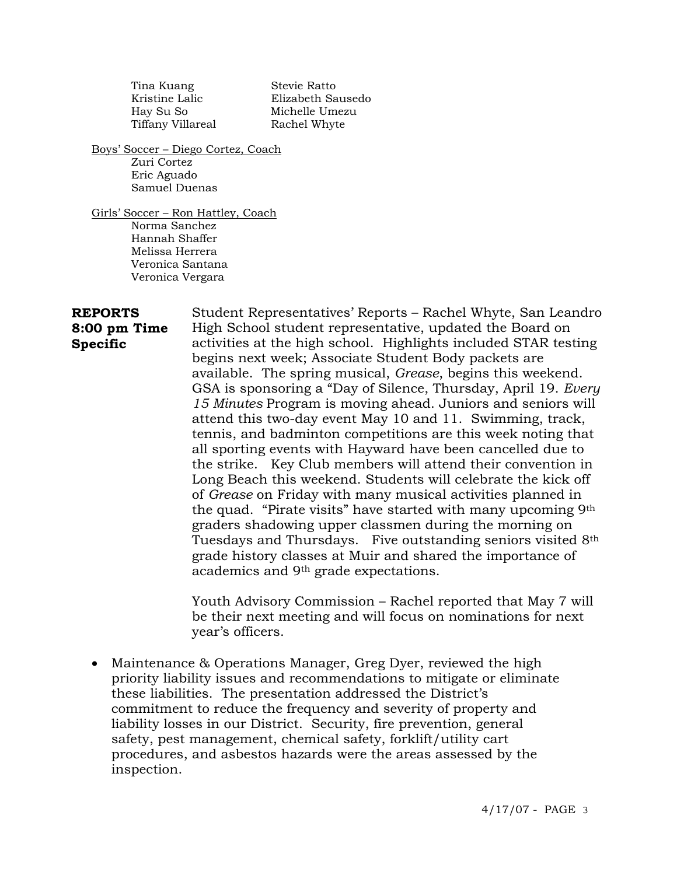Tina Kuang Stevie Ratto Tiffany Villareal Rachel Whyte

 Kristine Lalic Elizabeth Sausedo Hay Su So Michelle Umezu

Boys' Soccer – Diego Cortez, Coach Zuri Cortez Eric Aguado Samuel Duenas

Girls' Soccer – Ron Hattley, Coach Norma Sanchez Hannah Shaffer Melissa Herrera Veronica Santana Veronica Vergara

**REPORTS 8:00 pm Time Specific**  Student Representatives' Reports – Rachel Whyte, San Leandro High School student representative, updated the Board on activities at the high school. Highlights included STAR testing begins next week; Associate Student Body packets are available. The spring musical, *Grease*, begins this weekend. GSA is sponsoring a "Day of Silence, Thursday, April 19. *Every 15 Minutes* Program is moving ahead. Juniors and seniors will attend this two-day event May 10 and 11. Swimming, track, tennis, and badminton competitions are this week noting that all sporting events with Hayward have been cancelled due to the strike. Key Club members will attend their convention in Long Beach this weekend. Students will celebrate the kick off of *Grease* on Friday with many musical activities planned in the quad. "Pirate visits" have started with many upcoming 9th graders shadowing upper classmen during the morning on Tuesdays and Thursdays. Five outstanding seniors visited 8th grade history classes at Muir and shared the importance of academics and 9th grade expectations.

> Youth Advisory Commission – Rachel reported that May 7 will be their next meeting and will focus on nominations for next year's officers.

• Maintenance & Operations Manager, Greg Dyer, reviewed the high priority liability issues and recommendations to mitigate or eliminate these liabilities. The presentation addressed the District's commitment to reduce the frequency and severity of property and liability losses in our District. Security, fire prevention, general safety, pest management, chemical safety, forklift/utility cart procedures, and asbestos hazards were the areas assessed by the inspection.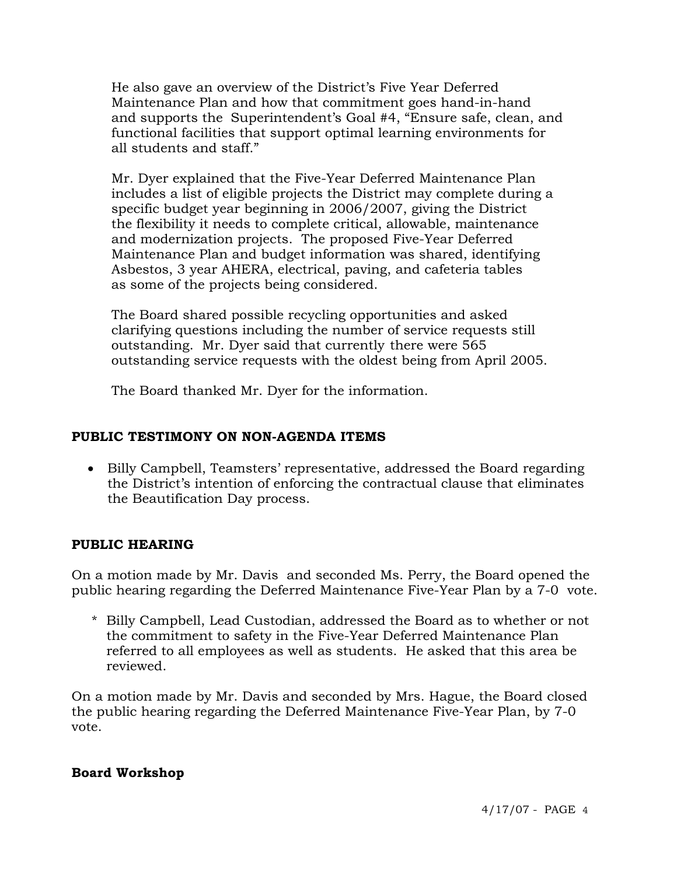He also gave an overview of the District's Five Year Deferred Maintenance Plan and how that commitment goes hand-in-hand and supports the Superintendent's Goal #4, "Ensure safe, clean, and functional facilities that support optimal learning environments for all students and staff."

 Mr. Dyer explained that the Five-Year Deferred Maintenance Plan includes a list of eligible projects the District may complete during a specific budget year beginning in 2006/2007, giving the District the flexibility it needs to complete critical, allowable, maintenance and modernization projects. The proposed Five-Year Deferred Maintenance Plan and budget information was shared, identifying Asbestos, 3 year AHERA, electrical, paving, and cafeteria tables as some of the projects being considered.

 The Board shared possible recycling opportunities and asked clarifying questions including the number of service requests still outstanding. Mr. Dyer said that currently there were 565 outstanding service requests with the oldest being from April 2005.

The Board thanked Mr. Dyer for the information.

# **PUBLIC TESTIMONY ON NON-AGENDA ITEMS**

• Billy Campbell, Teamsters' representative, addressed the Board regarding the District's intention of enforcing the contractual clause that eliminates the Beautification Day process.

# **PUBLIC HEARING**

On a motion made by Mr. Davis and seconded Ms. Perry, the Board opened the public hearing regarding the Deferred Maintenance Five-Year Plan by a 7-0 vote.

\* Billy Campbell, Lead Custodian, addressed the Board as to whether or not the commitment to safety in the Five-Year Deferred Maintenance Plan referred to all employees as well as students. He asked that this area be reviewed.

On a motion made by Mr. Davis and seconded by Mrs. Hague, the Board closed the public hearing regarding the Deferred Maintenance Five-Year Plan, by 7-0 vote.

## **Board Workshop**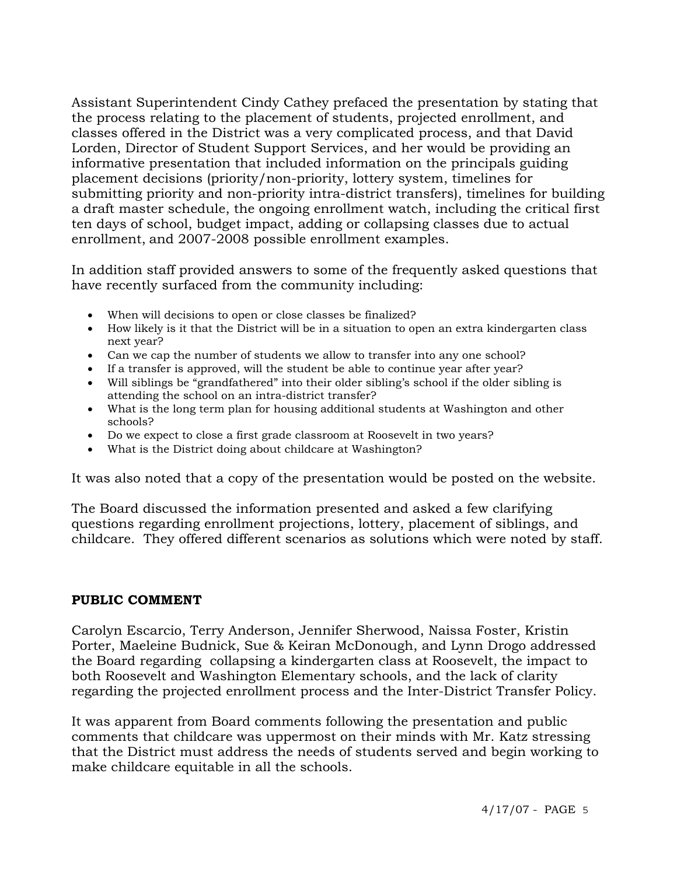Assistant Superintendent Cindy Cathey prefaced the presentation by stating that the process relating to the placement of students, projected enrollment, and classes offered in the District was a very complicated process, and that David Lorden, Director of Student Support Services, and her would be providing an informative presentation that included information on the principals guiding placement decisions (priority/non-priority, lottery system, timelines for submitting priority and non-priority intra-district transfers), timelines for building a draft master schedule, the ongoing enrollment watch, including the critical first ten days of school, budget impact, adding or collapsing classes due to actual enrollment, and 2007-2008 possible enrollment examples.

In addition staff provided answers to some of the frequently asked questions that have recently surfaced from the community including:

- When will decisions to open or close classes be finalized?
- How likely is it that the District will be in a situation to open an extra kindergarten class next year?
- Can we cap the number of students we allow to transfer into any one school?
- If a transfer is approved, will the student be able to continue year after year?
- Will siblings be "grandfathered" into their older sibling's school if the older sibling is attending the school on an intra-district transfer?
- What is the long term plan for housing additional students at Washington and other schools?
- Do we expect to close a first grade classroom at Roosevelt in two years?
- What is the District doing about childcare at Washington?

It was also noted that a copy of the presentation would be posted on the website.

The Board discussed the information presented and asked a few clarifying questions regarding enrollment projections, lottery, placement of siblings, and childcare. They offered different scenarios as solutions which were noted by staff.

#### **PUBLIC COMMENT**

Carolyn Escarcio, Terry Anderson, Jennifer Sherwood, Naissa Foster, Kristin Porter, Maeleine Budnick, Sue & Keiran McDonough, and Lynn Drogo addressed the Board regarding collapsing a kindergarten class at Roosevelt, the impact to both Roosevelt and Washington Elementary schools, and the lack of clarity regarding the projected enrollment process and the Inter-District Transfer Policy.

It was apparent from Board comments following the presentation and public comments that childcare was uppermost on their minds with Mr. Katz stressing that the District must address the needs of students served and begin working to make childcare equitable in all the schools.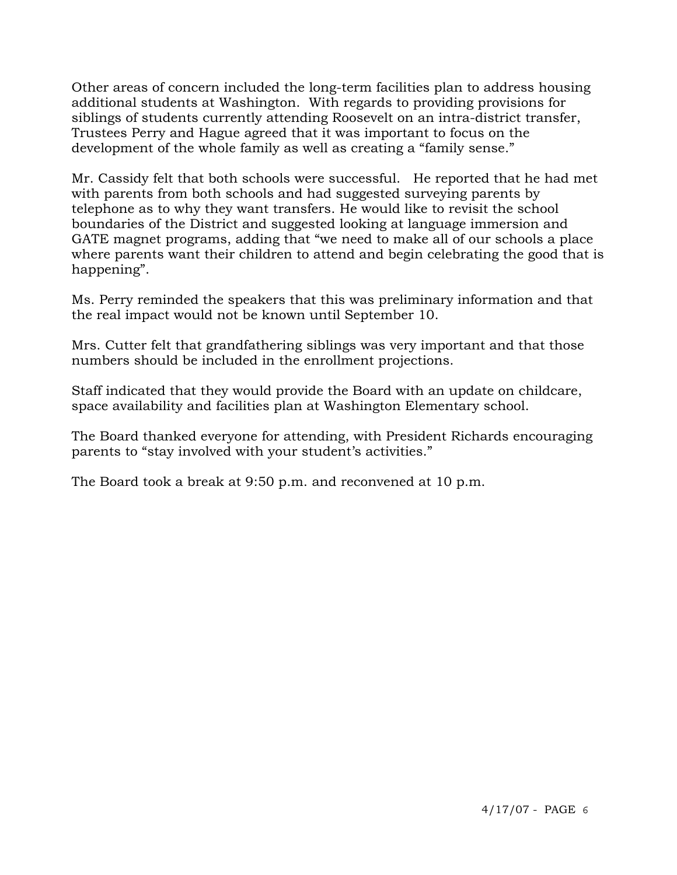Other areas of concern included the long-term facilities plan to address housing additional students at Washington. With regards to providing provisions for siblings of students currently attending Roosevelt on an intra-district transfer, Trustees Perry and Hague agreed that it was important to focus on the development of the whole family as well as creating a "family sense."

Mr. Cassidy felt that both schools were successful. He reported that he had met with parents from both schools and had suggested surveying parents by telephone as to why they want transfers. He would like to revisit the school boundaries of the District and suggested looking at language immersion and GATE magnet programs, adding that "we need to make all of our schools a place where parents want their children to attend and begin celebrating the good that is happening".

Ms. Perry reminded the speakers that this was preliminary information and that the real impact would not be known until September 10.

Mrs. Cutter felt that grandfathering siblings was very important and that those numbers should be included in the enrollment projections.

Staff indicated that they would provide the Board with an update on childcare, space availability and facilities plan at Washington Elementary school.

The Board thanked everyone for attending, with President Richards encouraging parents to "stay involved with your student's activities."

The Board took a break at 9:50 p.m. and reconvened at 10 p.m.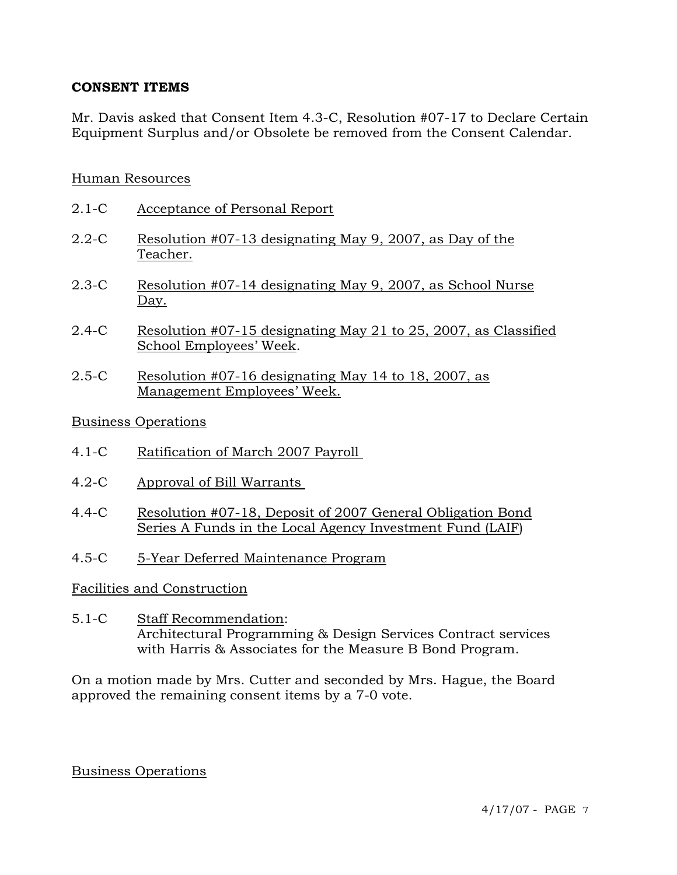### **CONSENT ITEMS**

Mr. Davis asked that Consent Item 4.3-C, Resolution #07-17 to Declare Certain Equipment Surplus and/or Obsolete be removed from the Consent Calendar.

### Human Resources

- 2.1-C Acceptance of Personal Report
- 2.2-C Resolution #07-13 designating May 9, 2007, as Day of the Teacher.
- 2.3-C Resolution #07-14 designating May 9, 2007, as School Nurse Day.
- 2.4-C Resolution #07-15 designating May 21 to 25, 2007, as Classified School Employees' Week.
- 2.5-C Resolution #07-16 designating May 14 to 18, 2007, as Management Employees' Week.

#### Business Operations

- 4.1-C Ratification of March 2007 Payroll
- 4.2-C Approval of Bill Warrants
- 4.4-C Resolution #07-18, Deposit of 2007 General Obligation Bond Series A Funds in the Local Agency Investment Fund (LAIF)
- 4.5-C 5-Year Deferred Maintenance Program

#### Facilities and Construction

5.1-C Staff Recommendation: Architectural Programming & Design Services Contract services with Harris & Associates for the Measure B Bond Program.

On a motion made by Mrs. Cutter and seconded by Mrs. Hague, the Board approved the remaining consent items by a 7-0 vote.

#### Business Operations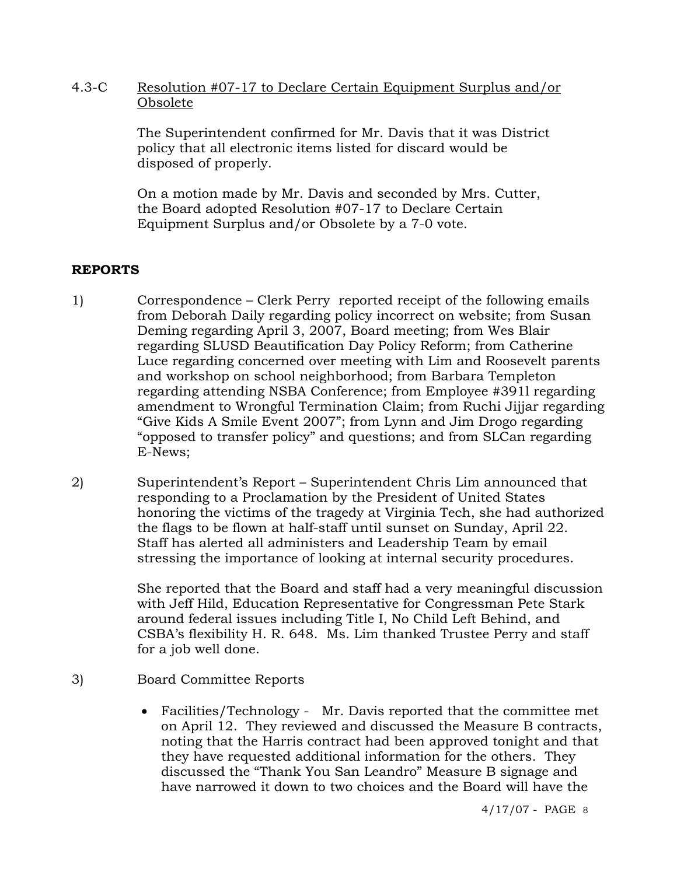### 4.3-C Resolution #07-17 to Declare Certain Equipment Surplus and/or Obsolete

The Superintendent confirmed for Mr. Davis that it was District policy that all electronic items listed for discard would be disposed of properly.

On a motion made by Mr. Davis and seconded by Mrs. Cutter, the Board adopted Resolution #07-17 to Declare Certain Equipment Surplus and/or Obsolete by a 7-0 vote.

# **REPORTS**

- 1) Correspondence Clerk Perry reported receipt of the following emails from Deborah Daily regarding policy incorrect on website; from Susan Deming regarding April 3, 2007, Board meeting; from Wes Blair regarding SLUSD Beautification Day Policy Reform; from Catherine Luce regarding concerned over meeting with Lim and Roosevelt parents and workshop on school neighborhood; from Barbara Templeton regarding attending NSBA Conference; from Employee #391l regarding amendment to Wrongful Termination Claim; from Ruchi Jijjar regarding "Give Kids A Smile Event 2007"; from Lynn and Jim Drogo regarding "opposed to transfer policy" and questions; and from SLCan regarding E-News;
- 2) Superintendent's Report Superintendent Chris Lim announced that responding to a Proclamation by the President of United States honoring the victims of the tragedy at Virginia Tech, she had authorized the flags to be flown at half-staff until sunset on Sunday, April 22. Staff has alerted all administers and Leadership Team by email stressing the importance of looking at internal security procedures.

She reported that the Board and staff had a very meaningful discussion with Jeff Hild, Education Representative for Congressman Pete Stark around federal issues including Title I, No Child Left Behind, and CSBA's flexibility H. R. 648. Ms. Lim thanked Trustee Perry and staff for a job well done.

- 3) Board Committee Reports
	- Facilities/Technology Mr. Davis reported that the committee met on April 12. They reviewed and discussed the Measure B contracts, noting that the Harris contract had been approved tonight and that they have requested additional information for the others. They discussed the "Thank You San Leandro" Measure B signage and have narrowed it down to two choices and the Board will have the

4/17/07 - PAGE 8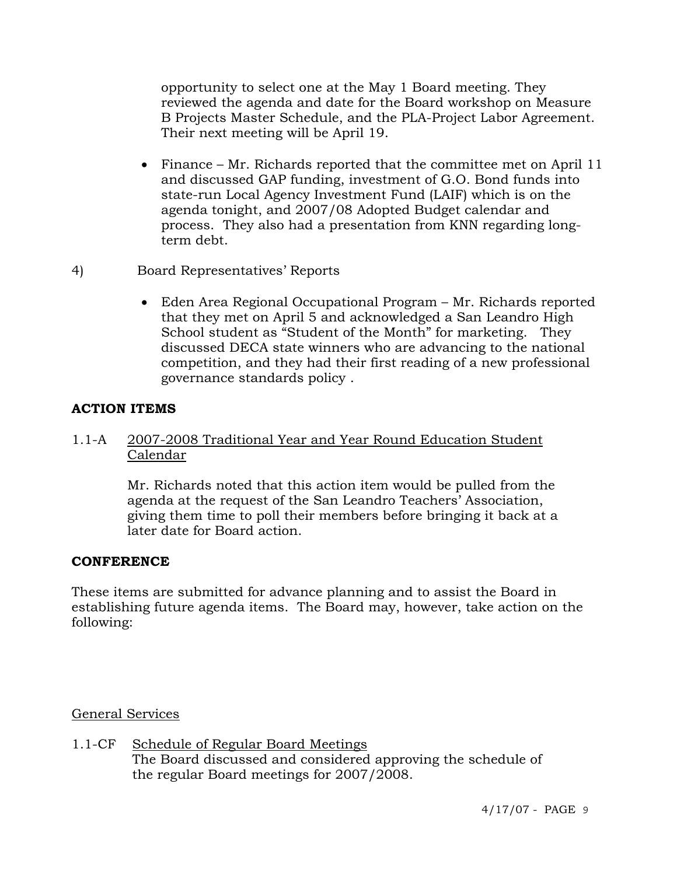opportunity to select one at the May 1 Board meeting. They reviewed the agenda and date for the Board workshop on Measure B Projects Master Schedule, and the PLA-Project Labor Agreement. Their next meeting will be April 19.

- Finance Mr. Richards reported that the committee met on April 11 and discussed GAP funding, investment of G.O. Bond funds into state-run Local Agency Investment Fund (LAIF) which is on the agenda tonight, and 2007/08 Adopted Budget calendar and process. They also had a presentation from KNN regarding longterm debt.
- 4) Board Representatives' Reports
	- Eden Area Regional Occupational Program Mr. Richards reported that they met on April 5 and acknowledged a San Leandro High School student as "Student of the Month" for marketing. They discussed DECA state winners who are advancing to the national competition, and they had their first reading of a new professional governance standards policy .

# **ACTION ITEMS**

## 1.1-A 2007-2008 Traditional Year and Year Round Education Student Calendar

Mr. Richards noted that this action item would be pulled from the agenda at the request of the San Leandro Teachers' Association, giving them time to poll their members before bringing it back at a later date for Board action.

## **CONFERENCE**

These items are submitted for advance planning and to assist the Board in establishing future agenda items. The Board may, however, take action on the following:

General Services

1.1-CF Schedule of Regular Board Meetings The Board discussed and considered approving the schedule of the regular Board meetings for 2007/2008.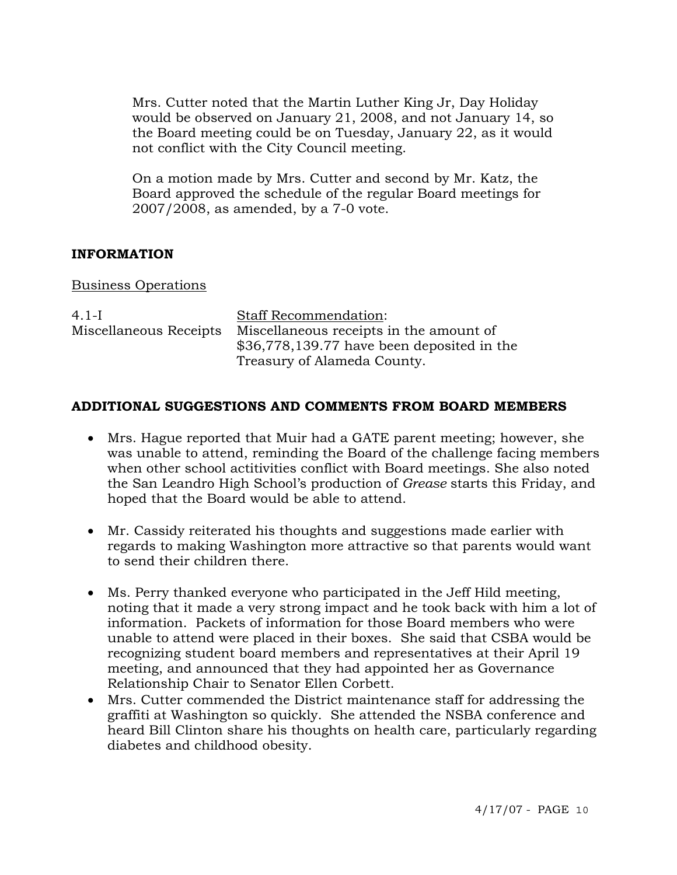Mrs. Cutter noted that the Martin Luther King Jr, Day Holiday would be observed on January 21, 2008, and not January 14, so the Board meeting could be on Tuesday, January 22, as it would not conflict with the City Council meeting.

On a motion made by Mrs. Cutter and second by Mr. Katz, the Board approved the schedule of the regular Board meetings for 2007/2008, as amended, by a 7-0 vote.

# **INFORMATION**

### Business Operations

| $4.1-I$                | <b>Staff Recommendation:</b>                |
|------------------------|---------------------------------------------|
| Miscellaneous Receipts | Miscellaneous receipts in the amount of     |
|                        | $$36,778,139.77$ have been deposited in the |
|                        | Treasury of Alameda County.                 |

## **ADDITIONAL SUGGESTIONS AND COMMENTS FROM BOARD MEMBERS**

- Mrs. Hague reported that Muir had a GATE parent meeting; however, she was unable to attend, reminding the Board of the challenge facing members when other school actitivities conflict with Board meetings. She also noted the San Leandro High School's production of *Grease* starts this Friday, and hoped that the Board would be able to attend.
- Mr. Cassidy reiterated his thoughts and suggestions made earlier with regards to making Washington more attractive so that parents would want to send their children there.
- Ms. Perry thanked everyone who participated in the Jeff Hild meeting, noting that it made a very strong impact and he took back with him a lot of information. Packets of information for those Board members who were unable to attend were placed in their boxes. She said that CSBA would be recognizing student board members and representatives at their April 19 meeting, and announced that they had appointed her as Governance Relationship Chair to Senator Ellen Corbett.
- Mrs. Cutter commended the District maintenance staff for addressing the graffiti at Washington so quickly. She attended the NSBA conference and heard Bill Clinton share his thoughts on health care, particularly regarding diabetes and childhood obesity.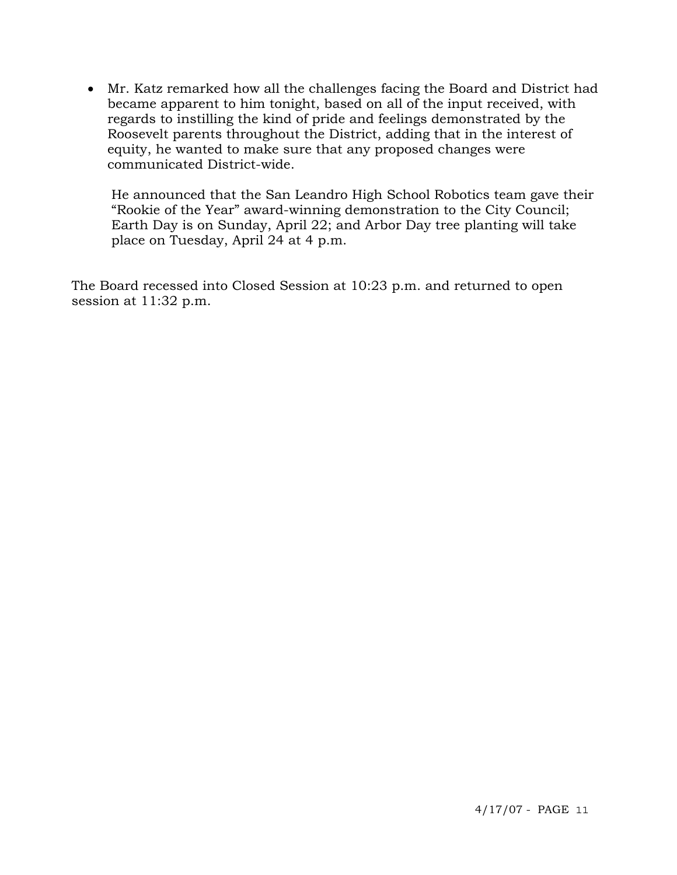• Mr. Katz remarked how all the challenges facing the Board and District had became apparent to him tonight, based on all of the input received, with regards to instilling the kind of pride and feelings demonstrated by the Roosevelt parents throughout the District, adding that in the interest of equity, he wanted to make sure that any proposed changes were communicated District-wide.

 He announced that the San Leandro High School Robotics team gave their "Rookie of the Year" award-winning demonstration to the City Council; Earth Day is on Sunday, April 22; and Arbor Day tree planting will take place on Tuesday, April 24 at 4 p.m.

The Board recessed into Closed Session at 10:23 p.m. and returned to open session at 11:32 p.m.